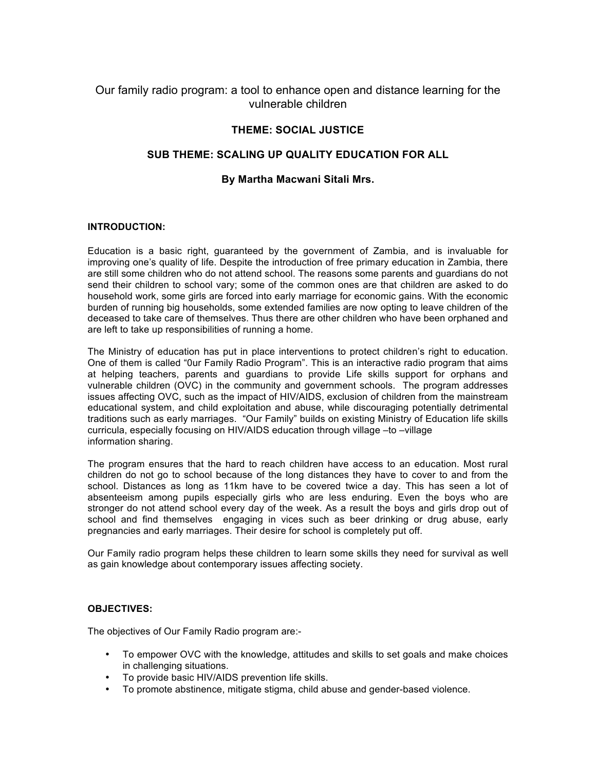# Our family radio program: a tool to enhance open and distance learning for the vulnerable children

# **THEME: SOCIAL JUSTICE**

## **SUB THEME: SCALING UP QUALITY EDUCATION FOR ALL**

## **By Martha Macwani Sitali Mrs.**

#### **INTRODUCTION:**

Education is a basic right, guaranteed by the government of Zambia, and is invaluable for improving one's quality of life. Despite the introduction of free primary education in Zambia, there are still some children who do not attend school. The reasons some parents and guardians do not send their children to school vary; some of the common ones are that children are asked to do household work, some girls are forced into early marriage for economic gains. With the economic burden of running big households, some extended families are now opting to leave children of the deceased to take care of themselves. Thus there are other children who have been orphaned and are left to take up responsibilities of running a home.

The Ministry of education has put in place interventions to protect children's right to education. One of them is called "0ur Family Radio Program". This is an interactive radio program that aims at helping teachers, parents and guardians to provide Life skills support for orphans and vulnerable children (OVC) in the community and government schools. The program addresses issues affecting OVC, such as the impact of HIV/AIDS, exclusion of children from the mainstream educational system, and child exploitation and abuse, while discouraging potentially detrimental traditions such as early marriages. "Our Family" builds on existing Ministry of Education life skills curricula, especially focusing on HIV/AIDS education through village –to –village information sharing.

The program ensures that the hard to reach children have access to an education. Most rural children do not go to school because of the long distances they have to cover to and from the school. Distances as long as 11km have to be covered twice a day. This has seen a lot of absenteeism among pupils especially girls who are less enduring. Even the boys who are stronger do not attend school every day of the week. As a result the boys and girls drop out of school and find themselves engaging in vices such as beer drinking or drug abuse, early pregnancies and early marriages. Their desire for school is completely put off.

Our Family radio program helps these children to learn some skills they need for survival as well as gain knowledge about contemporary issues affecting society.

#### **OBJECTIVES:**

The objectives of Our Family Radio program are:-

- To empower OVC with the knowledge, attitudes and skills to set goals and make choices in challenging situations.
- To provide basic HIV/AIDS prevention life skills.
- To promote abstinence, mitigate stigma, child abuse and gender-based violence.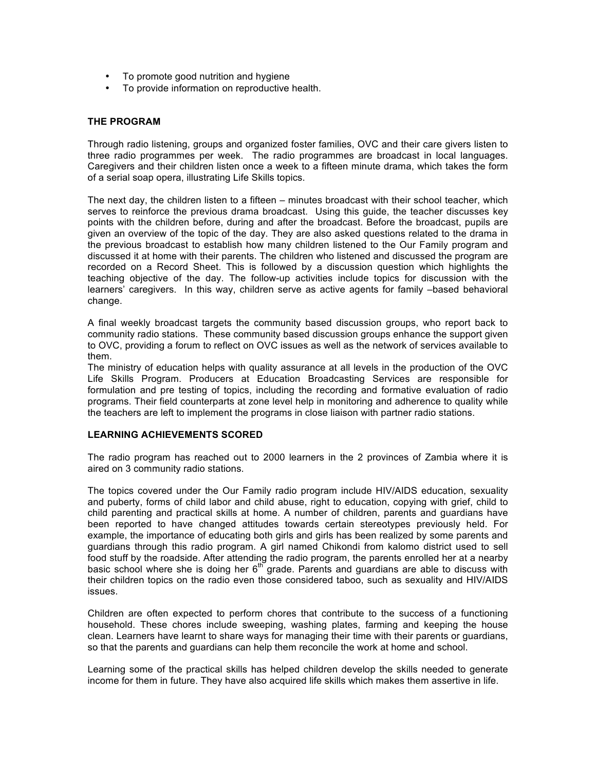- To promote good nutrition and hygiene
- To provide information on reproductive health.

#### **THE PROGRAM**

Through radio listening, groups and organized foster families, OVC and their care givers listen to three radio programmes per week. The radio programmes are broadcast in local languages. Caregivers and their children listen once a week to a fifteen minute drama, which takes the form of a serial soap opera, illustrating Life Skills topics.

The next day, the children listen to a fifteen – minutes broadcast with their school teacher, which serves to reinforce the previous drama broadcast. Using this guide, the teacher discusses key points with the children before, during and after the broadcast. Before the broadcast, pupils are given an overview of the topic of the day. They are also asked questions related to the drama in the previous broadcast to establish how many children listened to the Our Family program and discussed it at home with their parents. The children who listened and discussed the program are recorded on a Record Sheet. This is followed by a discussion question which highlights the teaching objective of the day. The follow-up activities include topics for discussion with the learners' caregivers. In this way, children serve as active agents for family –based behavioral change.

A final weekly broadcast targets the community based discussion groups, who report back to community radio stations. These community based discussion groups enhance the support given to OVC, providing a forum to reflect on OVC issues as well as the network of services available to them.

The ministry of education helps with quality assurance at all levels in the production of the OVC Life Skills Program. Producers at Education Broadcasting Services are responsible for formulation and pre testing of topics, including the recording and formative evaluation of radio programs. Their field counterparts at zone level help in monitoring and adherence to quality while the teachers are left to implement the programs in close liaison with partner radio stations.

#### **LEARNING ACHIEVEMENTS SCORED**

The radio program has reached out to 2000 learners in the 2 provinces of Zambia where it is aired on 3 community radio stations.

The topics covered under the Our Family radio program include HIV/AIDS education, sexuality and puberty, forms of child labor and child abuse, right to education, copying with grief, child to child parenting and practical skills at home. A number of children, parents and guardians have been reported to have changed attitudes towards certain stereotypes previously held. For example, the importance of educating both girls and girls has been realized by some parents and guardians through this radio program. A girl named Chikondi from kalomo district used to sell food stuff by the roadside. After attending the radio program, the parents enrolled her at a nearby basic school where she is doing her 6<sup>th</sup> grade. Parents and guardians are able to discuss with their children topics on the radio even those considered taboo, such as sexuality and HIV/AIDS issues.

Children are often expected to perform chores that contribute to the success of a functioning household. These chores include sweeping, washing plates, farming and keeping the house clean. Learners have learnt to share ways for managing their time with their parents or guardians, so that the parents and guardians can help them reconcile the work at home and school.

Learning some of the practical skills has helped children develop the skills needed to generate income for them in future. They have also acquired life skills which makes them assertive in life.